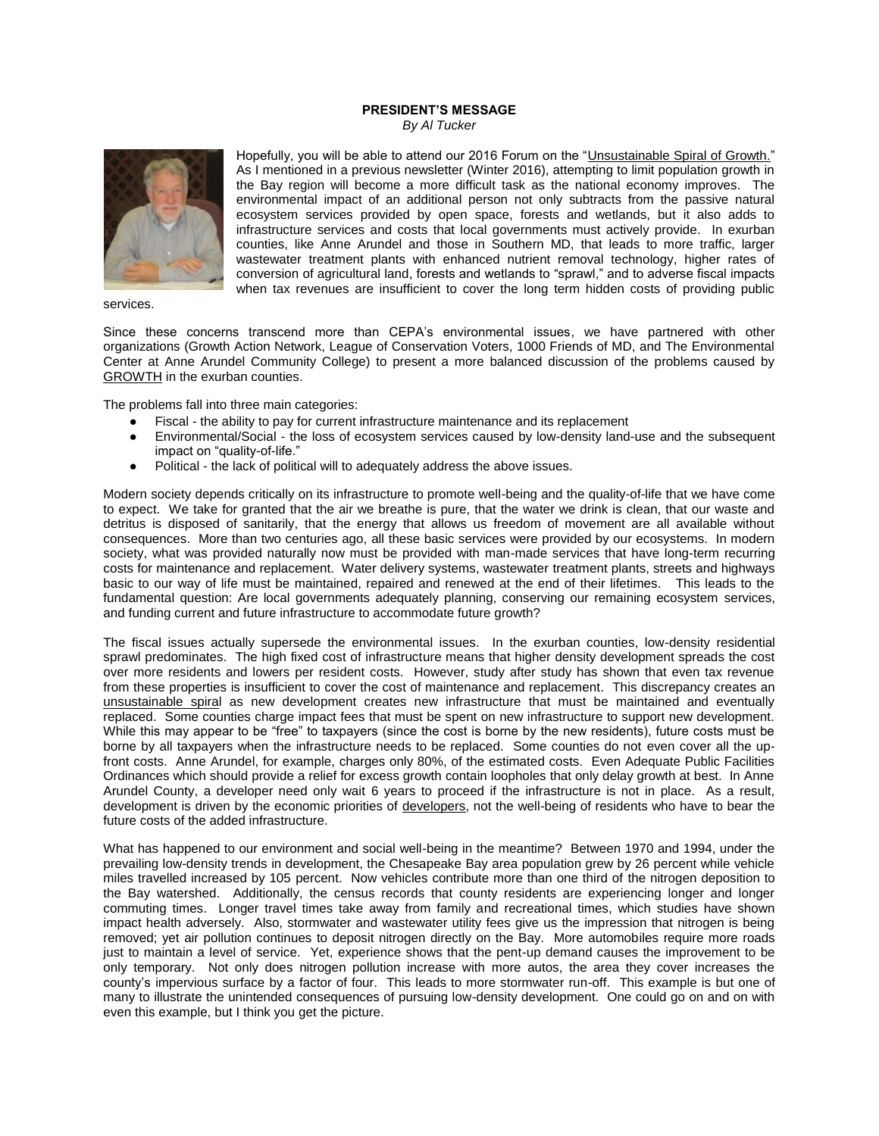## **PRESIDENT'S MESSAGE** *By Al Tucker*



Hopefully, you will be able to attend our 2016 Forum on the "Unsustainable Spiral of Growth." As I mentioned in a previous newsletter (Winter 2016), attempting to limit population growth in the Bay region will become a more difficult task as the national economy improves. The environmental impact of an additional person not only subtracts from the passive natural ecosystem services provided by open space, forests and wetlands, but it also adds to infrastructure services and costs that local governments must actively provide. In exurban counties, like Anne Arundel and those in Southern MD, that leads to more traffic, larger wastewater treatment plants with enhanced nutrient removal technology, higher rates of conversion of agricultural land, forests and wetlands to "sprawl," and to adverse fiscal impacts when tax revenues are insufficient to cover the long term hidden costs of providing public

services.

Since these concerns transcend more than CEPA's environmental issues, we have partnered with other organizations (Growth Action Network, League of Conservation Voters, 1000 Friends of MD, and The Environmental Center at Anne Arundel Community College) to present a more balanced discussion of the problems caused by GROWTH in the exurban counties.

The problems fall into three main categories:

- Fiscal the ability to pay for current infrastructure maintenance and its replacement
- Environmental/Social the loss of ecosystem services caused by low-density land-use and the subsequent impact on "quality-of-life."
- Political the lack of political will to adequately address the above issues.

Modern society depends critically on its infrastructure to promote well-being and the quality-of-life that we have come to expect. We take for granted that the air we breathe is pure, that the water we drink is clean, that our waste and detritus is disposed of sanitarily, that the energy that allows us freedom of movement are all available without consequences. More than two centuries ago, all these basic services were provided by our ecosystems. In modern society, what was provided naturally now must be provided with man-made services that have long-term recurring costs for maintenance and replacement. Water delivery systems, wastewater treatment plants, streets and highways basic to our way of life must be maintained, repaired and renewed at the end of their lifetimes. This leads to the fundamental question: Are local governments adequately planning, conserving our remaining ecosystem services, and funding current and future infrastructure to accommodate future growth?

The fiscal issues actually supersede the environmental issues. In the exurban counties, low-density residential sprawl predominates. The high fixed cost of infrastructure means that higher density development spreads the cost over more residents and lowers per resident costs. However, study after study has shown that even tax revenue from these properties is insufficient to cover the cost of maintenance and replacement. This discrepancy creates an unsustainable spiral as new development creates new infrastructure that must be maintained and eventually replaced. Some counties charge impact fees that must be spent on new infrastructure to support new development. While this may appear to be "free" to taxpayers (since the cost is borne by the new residents), future costs must be borne by all taxpayers when the infrastructure needs to be replaced. Some counties do not even cover all the upfront costs. Anne Arundel, for example, charges only 80%, of the estimated costs. Even Adequate Public Facilities Ordinances which should provide a relief for excess growth contain loopholes that only delay growth at best. In Anne Arundel County, a developer need only wait 6 years to proceed if the infrastructure is not in place. As a result, development is driven by the economic priorities of developers, not the well-being of residents who have to bear the future costs of the added infrastructure.

What has happened to our environment and social well-being in the meantime? Between 1970 and 1994, under the prevailing low-density trends in development, the Chesapeake Bay area population grew by 26 percent while vehicle miles travelled increased by 105 percent. Now vehicles contribute more than one third of the nitrogen deposition to the Bay watershed. Additionally, the census records that county residents are experiencing longer and longer commuting times. Longer travel times take away from family and recreational times, which studies have shown impact health adversely. Also, stormwater and wastewater utility fees give us the impression that nitrogen is being removed; yet air pollution continues to deposit nitrogen directly on the Bay. More automobiles require more roads just to maintain a level of service. Yet, experience shows that the pent-up demand causes the improvement to be only temporary. Not only does nitrogen pollution increase with more autos, the area they cover increases the county's impervious surface by a factor of four. This leads to more stormwater run-off. This example is but one of many to illustrate the unintended consequences of pursuing low-density development. One could go on and on with even this example, but I think you get the picture.